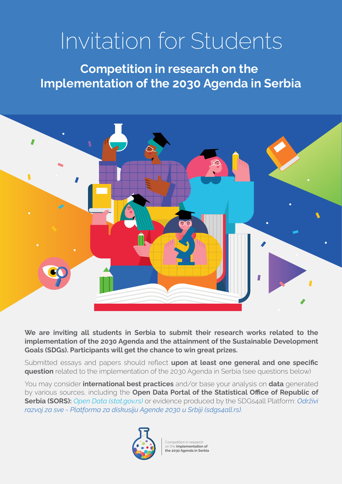# Invitation for Students

**Competition in research on the Implementation of the 2030 Agenda in Serbia**



**We are inviting all students in Serbia to submit their research works related to the implementation of the 2030 Agenda and the attainment of the Sustainable Development Goals (SDGs). Participants will get the chance to win great prizes.** 

Submitted essays and papers should reflect **upon at least one general and one specific question** related to the implementation of the 2030 Agenda in Serbia (see questions below)

You may consider **international best practices** and/or base your analysis on **data** generated by various sources, including the **Open Data Portal of the Statistical Office of Republic of Serbia (SORS):** *Open Data (stat.gov.rs)* or evidence produced by the SDGs4all Platform: *Održivi razvoj za sve - Platforma za diskusiju Agende 2030 u Srbiji (sdgs4all.rs)*.



Competition in research on the **Implementation of the 2030 Agenda in Serbia**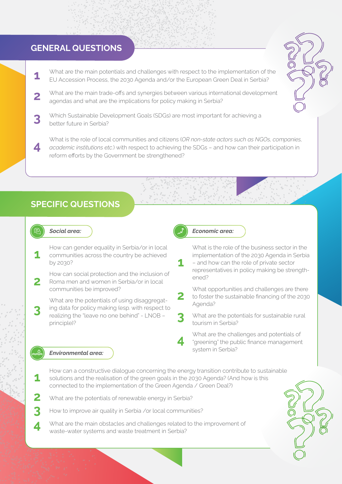## **GENERAL QUESTIONS**

- **1** What are the main potentials and challenges with respect to the implementation of the EU Accession Process, the 2030 Agenda and/or the European Green Deal in Serbia?
- **2** What are the main trade-offs and synergies between various international development agendas and what are the implications for policy making in Serbia?
- **3** Which Sustainable Development Goals (SDGs) are most important for achieving a better future in Serbia?
- **4** What is the role of local communities and citizens (*OR non-state actors such as NGOs, companies, academic institutions etc.*) with respect to achieving the SDGs – and how can their participation in reform efforts by the Government be strengthened?

## **SPECIFIC QUESTIONS**

- How can gender equality in Serbia/or in local 1 communities across the country be achieved by 2030?
- How can social protection and the inclusion of  $\mathbf{z}$ Roma men and women in Serbia/or in local communities be improved?
- What are the potentials of using disaggregating data for policy making (esp. with respect to realizing the "leave no one behind" - LNOB – principle)?

## *Environmental area:*

### **Social area:**  $\qquad \qquad$  **Economic area:**

What is the role of the business sector in the implementation of the 2030 Agenda in Serbia

1 – and how can the role of private sector representatives in policy making be strengthened?

What opportunities and challenges are there  $\mathbf{2}$ to foster the sustainable financing of the 2030 Agenda?

What are the potentials for sustainable rural tourism in Serbia?

What are the challenges and potentials of "greening" the public finance management system in Serbia?

- How can a constructive dialogue concerning the energy transition contribute to sustainable solutions and the realisation of the green goals in the 2030 Agenda? (And how is this connected to the implementation of the Green Agenda / Green Deal?)
- 2 What are the potentials of renewable energy in Serbia?
- 3 How to improve air quality in Serbia /or local communities?
- What are the main obstacles and challenges related to the improvement of waste-water systems and waste treatment in Serbia?